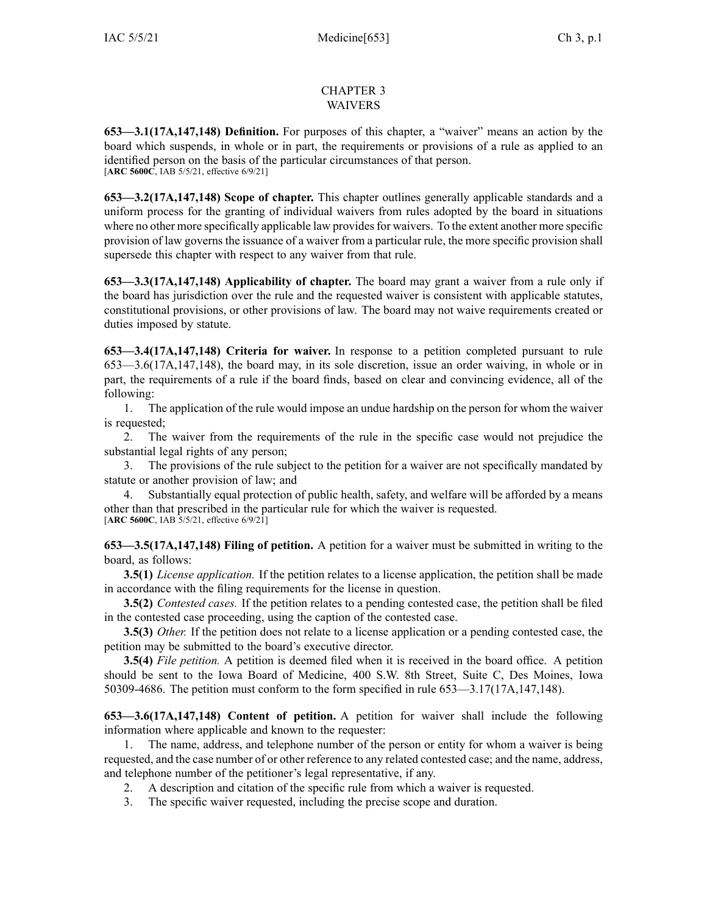## CHAPTER 3 WAIVERS

**653—3.1(17A,147,148) Definition.** For purposes of this chapter, <sup>a</sup> "waiver" means an action by the board which suspends, in whole or in part, the requirements or provisions of <sup>a</sup> rule as applied to an identified person on the basis of the particular circumstances of that person. [**ARC [5600C](https://www.legis.iowa.gov/docs/aco/arc/5600C.pdf)**, IAB 5/5/21, effective 6/9/21]

**653—3.2(17A,147,148) Scope of chapter.** This chapter outlines generally applicable standards and <sup>a</sup> uniform process for the granting of individual waivers from rules adopted by the board in situations where no other more specifically applicable law provides for waivers. To the extent another more specific provision of law governs the issuance of <sup>a</sup> waiver from <sup>a</sup> particular rule, the more specific provision shall supersede this chapter with respec<sup>t</sup> to any waiver from that rule.

**653—3.3(17A,147,148) Applicability of chapter.** The board may gran<sup>t</sup> <sup>a</sup> waiver from <sup>a</sup> rule only if the board has jurisdiction over the rule and the requested waiver is consistent with applicable statutes, constitutional provisions, or other provisions of law. The board may not waive requirements created or duties imposed by statute.

**653—3.4(17A,147,148) Criteria for waiver.** In response to <sup>a</sup> petition completed pursuan<sup>t</sup> to [rule](https://www.legis.iowa.gov/docs/iac/rule/653.3.6.pdf) [653—3.6\(17A,147,148\)](https://www.legis.iowa.gov/docs/iac/rule/653.3.6.pdf), the board may, in its sole discretion, issue an order waiving, in whole or in part, the requirements of <sup>a</sup> rule if the board finds, based on clear and convincing evidence, all of the following:

1. The application of the rule would impose an undue hardship on the person for whom the waiver is requested;

2. The waiver from the requirements of the rule in the specific case would not prejudice the substantial legal rights of any person;

3. The provisions of the rule subject to the petition for <sup>a</sup> waiver are not specifically mandated by statute or another provision of law; and

4. Substantially equal protection of public health, safety, and welfare will be afforded by <sup>a</sup> means other than that prescribed in the particular rule for which the waiver is requested. [**ARC [5600C](https://www.legis.iowa.gov/docs/aco/arc/5600C.pdf)**, IAB 5/5/21, effective 6/9/21]

**653—3.5(17A,147,148) Filing of petition.** A petition for <sup>a</sup> waiver must be submitted in writing to the board, as follows:

**3.5(1)** *License application.* If the petition relates to <sup>a</sup> license application, the petition shall be made in accordance with the filing requirements for the license in question.

**3.5(2)** *Contested cases.* If the petition relates to <sup>a</sup> pending contested case, the petition shall be filed in the contested case proceeding, using the caption of the contested case.

**3.5(3)** *Other.* If the petition does not relate to <sup>a</sup> license application or <sup>a</sup> pending contested case, the petition may be submitted to the board's executive director.

**3.5(4)** *File petition.* A petition is deemed filed when it is received in the board office. A petition should be sent to the Iowa Board of Medicine, 400 S.W. 8th Street, Suite C, Des Moines, Iowa 50309-4686. The petition must conform to the form specified in rule [653—3.17\(17A,147,148\)](https://www.legis.iowa.gov/docs/iac/rule/653.3.17.pdf).

**653—3.6(17A,147,148) Content of petition.** A petition for waiver shall include the following information where applicable and known to the requester:

1. The name, address, and telephone number of the person or entity for whom <sup>a</sup> waiver is being requested, and the case number of or other reference to any related contested case; and the name, address, and telephone number of the petitioner's legal representative, if any.

- 2. A description and citation of the specific rule from which <sup>a</sup> waiver is requested.
- 3. The specific waiver requested, including the precise scope and duration.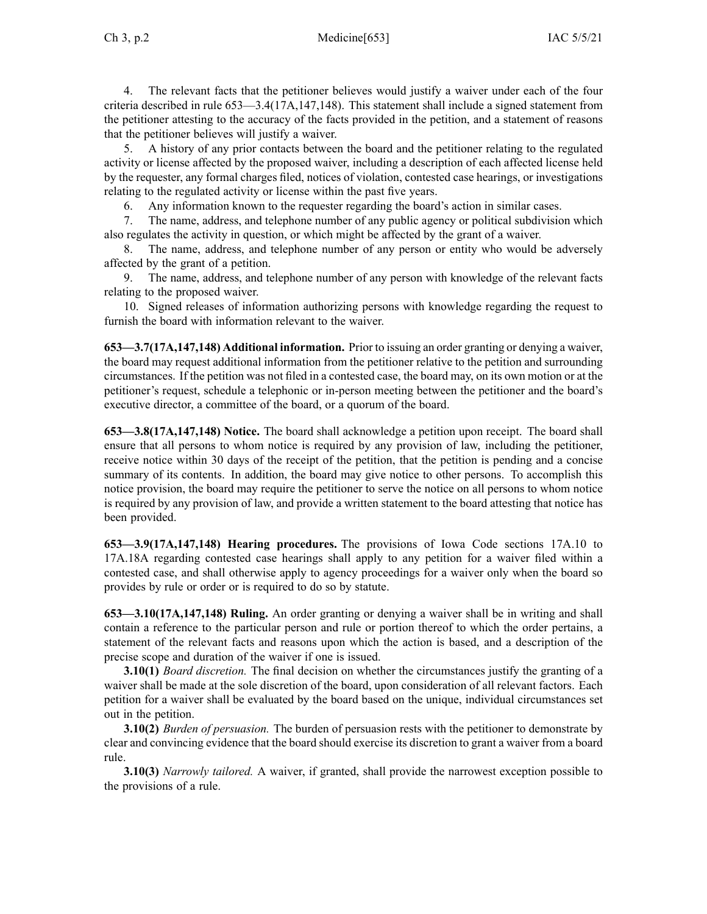4. The relevant facts that the petitioner believes would justify <sup>a</sup> waiver under each of the four criteria described in rule 653—3.4(17A,147,148). This statement shall include <sup>a</sup> signed statement from the petitioner attesting to the accuracy of the facts provided in the petition, and <sup>a</sup> statement of reasons that the petitioner believes will justify <sup>a</sup> waiver.

5. A history of any prior contacts between the board and the petitioner relating to the regulated activity or license affected by the proposed waiver, including <sup>a</sup> description of each affected license held by the requester, any formal charges filed, notices of violation, contested case hearings, or investigations relating to the regulated activity or license within the pas<sup>t</sup> five years.

6. Any information known to the requester regarding the board's action in similar cases.

7. The name, address, and telephone number of any public agency or political subdivision which also regulates the activity in question, or which might be affected by the gran<sup>t</sup> of <sup>a</sup> waiver.

8. The name, address, and telephone number of any person or entity who would be adversely affected by the gran<sup>t</sup> of <sup>a</sup> petition.

9. The name, address, and telephone number of any person with knowledge of the relevant facts relating to the proposed waiver.

10. Signed releases of information authorizing persons with knowledge regarding the reques<sup>t</sup> to furnish the board with information relevant to the waiver.

**653—3.7(17A,147,148) Additional information.** Prior to issuing an order granting or denying <sup>a</sup> waiver, the board may reques<sup>t</sup> additional information from the petitioner relative to the petition and surrounding circumstances. If the petition was not filed in <sup>a</sup> contested case, the board may, on its own motion or at the petitioner's request, schedule <sup>a</sup> telephonic or in-person meeting between the petitioner and the board's executive director, <sup>a</sup> committee of the board, or <sup>a</sup> quorum of the board.

**653—3.8(17A,147,148) Notice.** The board shall acknowledge <sup>a</sup> petition upon receipt. The board shall ensure that all persons to whom notice is required by any provision of law, including the petitioner, receive notice within 30 days of the receipt of the petition, that the petition is pending and <sup>a</sup> concise summary of its contents. In addition, the board may give notice to other persons. To accomplish this notice provision, the board may require the petitioner to serve the notice on all persons to whom notice is required by any provision of law, and provide <sup>a</sup> written statement to the board attesting that notice has been provided.

**653—3.9(17A,147,148) Hearing procedures.** The provisions of Iowa Code sections [17A.10](https://www.legis.iowa.gov/docs/ico/section/17A.10-18A.pdf) to [17A.18A](https://www.legis.iowa.gov/docs/ico/section/17A.10-18A.pdf) regarding contested case hearings shall apply to any petition for <sup>a</sup> waiver filed within <sup>a</sup> contested case, and shall otherwise apply to agency proceedings for <sup>a</sup> waiver only when the board so provides by rule or order or is required to do so by statute.

**653—3.10(17A,147,148) Ruling.** An order granting or denying <sup>a</sup> waiver shall be in writing and shall contain <sup>a</sup> reference to the particular person and rule or portion thereof to which the order pertains, <sup>a</sup> statement of the relevant facts and reasons upon which the action is based, and <sup>a</sup> description of the precise scope and duration of the waiver if one is issued.

**3.10(1)** *Board discretion.* The final decision on whether the circumstances justify the granting of <sup>a</sup> waiver shall be made at the sole discretion of the board, upon consideration of all relevant factors. Each petition for <sup>a</sup> waiver shall be evaluated by the board based on the unique, individual circumstances set out in the petition.

**3.10(2)** *Burden of persuasion.* The burden of persuasion rests with the petitioner to demonstrate by clear and convincing evidence that the board should exercise its discretion to gran<sup>t</sup> <sup>a</sup> waiver from <sup>a</sup> board rule.

**3.10(3)** *Narrowly tailored.* A waiver, if granted, shall provide the narrowest exception possible to the provisions of <sup>a</sup> rule.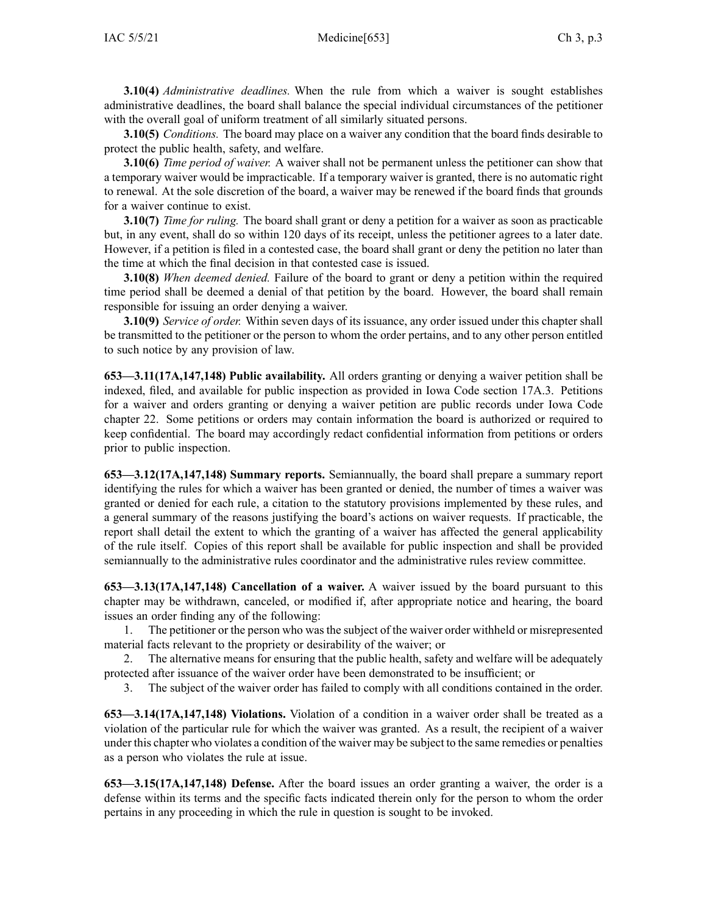**3.10(4)** *Administrative deadlines.* When the rule from which <sup>a</sup> waiver is sought establishes administrative deadlines, the board shall balance the special individual circumstances of the petitioner with the overall goal of uniform treatment of all similarly situated persons.

**3.10(5)** *Conditions.* The board may place on <sup>a</sup> waiver any condition that the board finds desirable to protect the public health, safety, and welfare.

**3.10(6)** *Time period of waiver.* A waiver shall not be permanen<sup>t</sup> unless the petitioner can show that <sup>a</sup> temporary waiver would be impracticable. If <sup>a</sup> temporary waiver is granted, there is no automatic right to renewal. At the sole discretion of the board, <sup>a</sup> waiver may be renewed if the board finds that grounds for <sup>a</sup> waiver continue to exist.

**3.10(7)** *Time for ruling.* The board shall gran<sup>t</sup> or deny <sup>a</sup> petition for <sup>a</sup> waiver as soon as practicable but, in any event, shall do so within 120 days of its receipt, unless the petitioner agrees to <sup>a</sup> later date. However, if <sup>a</sup> petition is filed in <sup>a</sup> contested case, the board shall gran<sup>t</sup> or deny the petition no later than the time at which the final decision in that contested case is issued.

**3.10(8)** *When deemed denied.* Failure of the board to gran<sup>t</sup> or deny <sup>a</sup> petition within the required time period shall be deemed <sup>a</sup> denial of that petition by the board. However, the board shall remain responsible for issuing an order denying <sup>a</sup> waiver.

**3.10(9)** *Service of order.* Within seven days of its issuance, any order issued under this chapter shall be transmitted to the petitioner or the person to whom the order pertains, and to any other person entitled to such notice by any provision of law.

**653—3.11(17A,147,148) Public availability.** All orders granting or denying <sup>a</sup> waiver petition shall be indexed, filed, and available for public inspection as provided in Iowa Code section [17A.3](https://www.legis.iowa.gov/docs/ico/section/17A.3.pdf). Petitions for <sup>a</sup> waiver and orders granting or denying <sup>a</sup> waiver petition are public records under Iowa Code chapter [22](https://www.legis.iowa.gov/docs/ico/chapter/22.pdf). Some petitions or orders may contain information the board is authorized or required to keep confidential. The board may accordingly redact confidential information from petitions or orders prior to public inspection.

**653—3.12(17A,147,148) Summary reports.** Semiannually, the board shall prepare <sup>a</sup> summary repor<sup>t</sup> identifying the rules for which <sup>a</sup> waiver has been granted or denied, the number of times <sup>a</sup> waiver was granted or denied for each rule, <sup>a</sup> citation to the statutory provisions implemented by these rules, and <sup>a</sup> general summary of the reasons justifying the board's actions on waiver requests. If practicable, the repor<sup>t</sup> shall detail the extent to which the granting of <sup>a</sup> waiver has affected the general applicability of the rule itself. Copies of this repor<sup>t</sup> shall be available for public inspection and shall be provided semiannually to the administrative rules coordinator and the administrative rules review committee.

**653—3.13(17A,147,148) Cancellation of <sup>a</sup> waiver.** A waiver issued by the board pursuan<sup>t</sup> to this chapter may be withdrawn, canceled, or modified if, after appropriate notice and hearing, the board issues an order finding any of the following:

1. The petitioner or the person who was the subject of the waiver order withheld or misrepresented material facts relevant to the propriety or desirability of the waiver; or

2. The alternative means for ensuring that the public health, safety and welfare will be adequately protected after issuance of the waiver order have been demonstrated to be insufficient; or

3. The subject of the waiver order has failed to comply with all conditions contained in the order.

**653—3.14(17A,147,148) Violations.** Violation of <sup>a</sup> condition in <sup>a</sup> waiver order shall be treated as <sup>a</sup> violation of the particular rule for which the waiver was granted. As <sup>a</sup> result, the recipient of <sup>a</sup> waiver under this chapter who violates <sup>a</sup> condition of the waiver may be subject to the same remedies or penalties as <sup>a</sup> person who violates the rule at issue.

**653—3.15(17A,147,148) Defense.** After the board issues an order granting <sup>a</sup> waiver, the order is <sup>a</sup> defense within its terms and the specific facts indicated therein only for the person to whom the order pertains in any proceeding in which the rule in question is sought to be invoked.